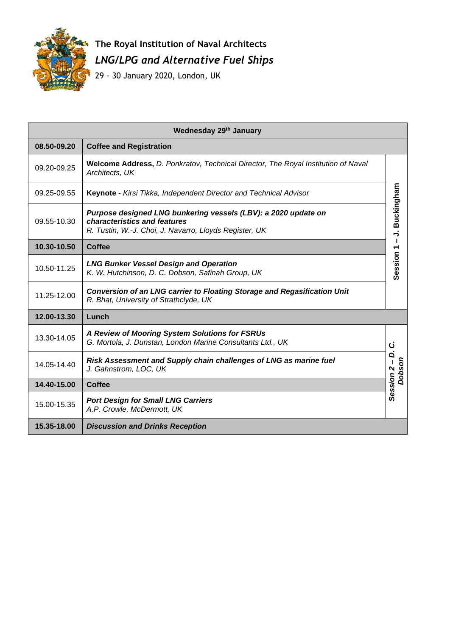

## **The Royal Institution of Naval Architects** *LNG/LPG and Alternative Fuel Ships*

29 - 30 January 2020, London, UK

| Wednesday 29th January                        |                                                                                                                                                          |                                        |  |
|-----------------------------------------------|----------------------------------------------------------------------------------------------------------------------------------------------------------|----------------------------------------|--|
| 08.50-09.20<br><b>Coffee and Registration</b> |                                                                                                                                                          |                                        |  |
| 09.20-09.25                                   | <b>Welcome Address, D. Ponkratov, Technical Director, The Royal Institution of Naval</b><br>Architects, UK                                               | Session 1 - J. Buckingham              |  |
| 09.25-09.55                                   | Keynote - Kirsi Tikka, Independent Director and Technical Advisor                                                                                        |                                        |  |
| 09.55-10.30                                   | Purpose designed LNG bunkering vessels (LBV): a 2020 update on<br>characteristics and features<br>R. Tustin, W.-J. Choi, J. Navarro, Lloyds Register, UK |                                        |  |
| 10.30-10.50                                   | <b>Coffee</b>                                                                                                                                            |                                        |  |
| 10.50-11.25                                   | <b>LNG Bunker Vessel Design and Operation</b><br>K. W. Hutchinson, D. C. Dobson, Safinah Group, UK                                                       |                                        |  |
| 11.25-12.00                                   | <b>Conversion of an LNG carrier to Floating Storage and Regasification Unit</b><br>R. Bhat, University of Strathclyde, UK                                |                                        |  |
| 12.00-13.30<br>Lunch                          |                                                                                                                                                          |                                        |  |
| 13.30-14.05                                   | A Review of Mooring System Solutions for FSRUs<br>G. Mortola, J. Dunstan, London Marine Consultants Ltd., UK                                             | ن                                      |  |
| 14.05-14.40                                   | Risk Assessment and Supply chain challenges of LNG as marine fuel<br>J. Gahnstrom, LOC, UK                                                               | Q.<br>Dobson<br>Session <sub>2</sub> - |  |
| 14.40-15.00                                   | <b>Coffee</b>                                                                                                                                            |                                        |  |
| 15.00-15.35                                   | <b>Port Design for Small LNG Carriers</b><br>A.P. Crowle, McDermott, UK                                                                                  |                                        |  |
| 15.35-18.00                                   | <b>Discussion and Drinks Reception</b>                                                                                                                   |                                        |  |